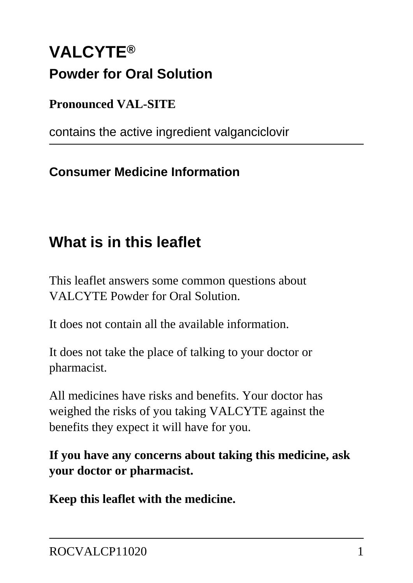# **VALCYTE® Powder for Oral Solution**

**Pronounced VAL-SITE**

contains the active ingredient valganciclovir

### **Consumer Medicine Information**

## **What is in this leaflet**

This leaflet answers some common questions about VALCYTE Powder for Oral Solution.

It does not contain all the available information.

It does not take the place of talking to your doctor or pharmacist.

All medicines have risks and benefits. Your doctor has weighed the risks of you taking VALCYTE against the benefits they expect it will have for you.

**If you have any concerns about taking this medicine, ask your doctor or pharmacist.**

**Keep this leaflet with the medicine.**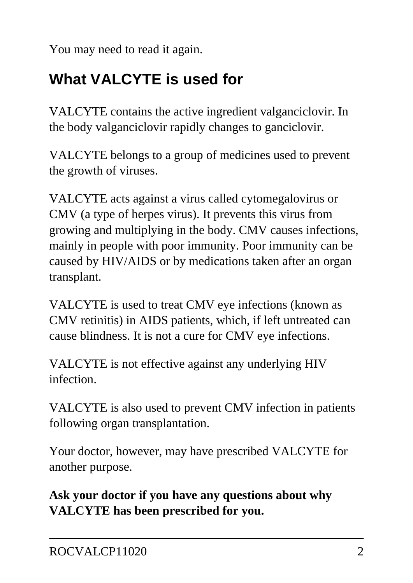You may need to read it again.

## **What VALCYTE is used for**

VALCYTE contains the active ingredient valganciclovir. In the body valganciclovir rapidly changes to ganciclovir.

VALCYTE belongs to a group of medicines used to prevent the growth of viruses.

VALCYTE acts against a virus called cytomegalovirus or CMV (a type of herpes virus). It prevents this virus from growing and multiplying in the body. CMV causes infections, mainly in people with poor immunity. Poor immunity can be caused by HIV/AIDS or by medications taken after an organ transplant.

VALCYTE is used to treat CMV eye infections (known as CMV retinitis) in AIDS patients, which, if left untreated can cause blindness. It is not a cure for CMV eye infections.

VALCYTE is not effective against any underlying HIV infection.

VALCYTE is also used to prevent CMV infection in patients following organ transplantation.

Your doctor, however, may have prescribed VALCYTE for another purpose.

**Ask your doctor if you have any questions about why VALCYTE has been prescribed for you.**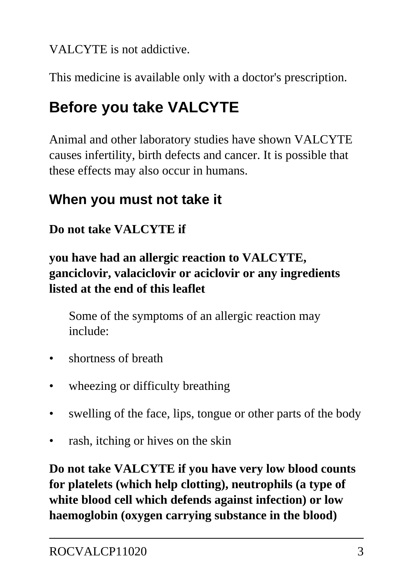VALCYTE is not addictive.

This medicine is available only with a doctor's prescription.

# **Before you take VALCYTE**

Animal and other laboratory studies have shown VALCYTE causes infertility, birth defects and cancer. It is possible that these effects may also occur in humans.

## **When you must not take it**

#### **Do not take VALCYTE if**

**you have had an allergic reaction to VALCYTE, ganciclovir, valaciclovir or aciclovir or any ingredients listed at the end of this leaflet**

 Some of the symptoms of an allergic reaction may include:

- shortness of breath
- wheezing or difficulty breathing
- swelling of the face, lips, tongue or other parts of the body
- rash, itching or hives on the skin

**Do not take VALCYTE if you have very low blood counts for platelets (which help clotting), neutrophils (a type of white blood cell which defends against infection) or low haemoglobin (oxygen carrying substance in the blood)**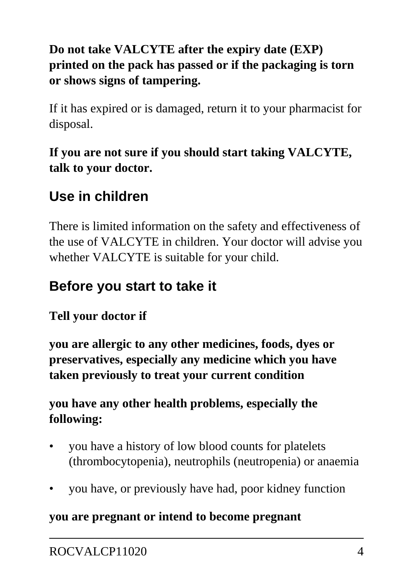#### **Do not take VALCYTE after the expiry date (EXP) printed on the pack has passed or if the packaging is torn or shows signs of tampering.**

If it has expired or is damaged, return it to your pharmacist for disposal.

#### **If you are not sure if you should start taking VALCYTE, talk to your doctor.**

## **Use in children**

There is limited information on the safety and effectiveness of the use of VALCYTE in children. Your doctor will advise you whether VALCYTE is suitable for your child.

### **Before you start to take it**

#### **Tell your doctor if**

**you are allergic to any other medicines, foods, dyes or preservatives, especially any medicine which you have taken previously to treat your current condition**

#### **you have any other health problems, especially the following:**

- you have a history of low blood counts for platelets (thrombocytopenia), neutrophils (neutropenia) or anaemia
- you have, or previously have had, poor kidney function

#### **you are pregnant or intend to become pregnant**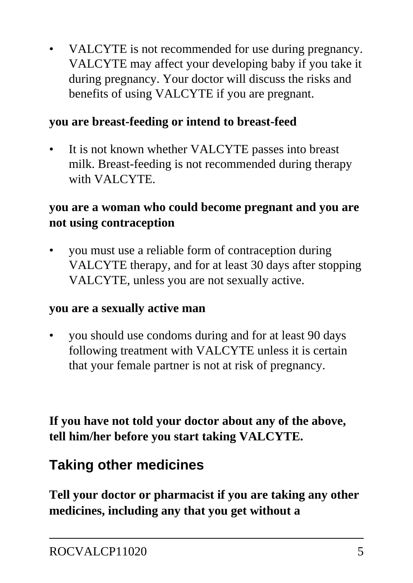VALCYTE is not recommended for use during pregnancy. VALCYTE may affect your developing baby if you take it during pregnancy. Your doctor will discuss the risks and benefits of using VALCYTE if you are pregnant.

#### **you are breast-feeding or intend to breast-feed**

It is not known whether VALCYTE passes into breast milk. Breast-feeding is not recommended during therapy with VALCYTE.

#### **you are a woman who could become pregnant and you are not using contraception**

• you must use a reliable form of contraception during VALCYTE therapy, and for at least 30 days after stopping VALCYTE, unless you are not sexually active.

#### **you are a sexually active man**

• you should use condoms during and for at least 90 days following treatment with VALCYTE unless it is certain that your female partner is not at risk of pregnancy.

**If you have not told your doctor about any of the above, tell him/her before you start taking VALCYTE.**

## **Taking other medicines**

**Tell your doctor or pharmacist if you are taking any other medicines, including any that you get without a**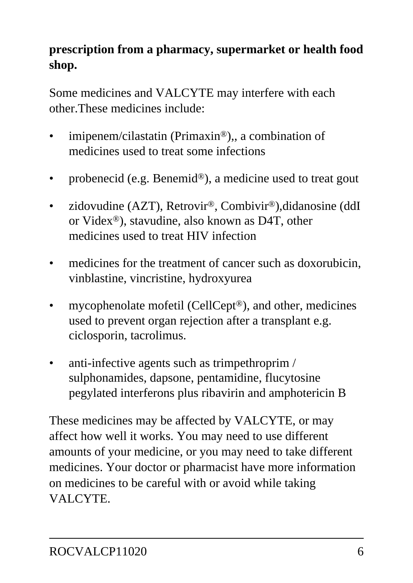#### **prescription from a pharmacy, supermarket or health food shop.**

Some medicines and VALCYTE may interfere with each other.These medicines include:

- imipenem/cilastatin (Primaxin®),, a combination of medicines used to treat some infections
- probenecid (e.g. Benemid®), a medicine used to treat gout
- zidovudine (AZT), Retrovir<sup>®</sup>, Combivir<sup>®</sup>), didanosine (ddI) or Videx®), stavudine, also known as D4T, other medicines used to treat HIV infection
- medicines for the treatment of cancer such as doxorubicin, vinblastine, vincristine, hydroxyurea
- mycophenolate mofetil (CellCept®), and other, medicines used to prevent organ rejection after a transplant e.g. ciclosporin, tacrolimus.
- anti-infective agents such as trimpethroprim / sulphonamides, dapsone, pentamidine, flucytosine pegylated interferons plus ribavirin and amphotericin B

These medicines may be affected by VALCYTE, or may affect how well it works. You may need to use different amounts of your medicine, or you may need to take different medicines. Your doctor or pharmacist have more information on medicines to be careful with or avoid while taking VALCYTE.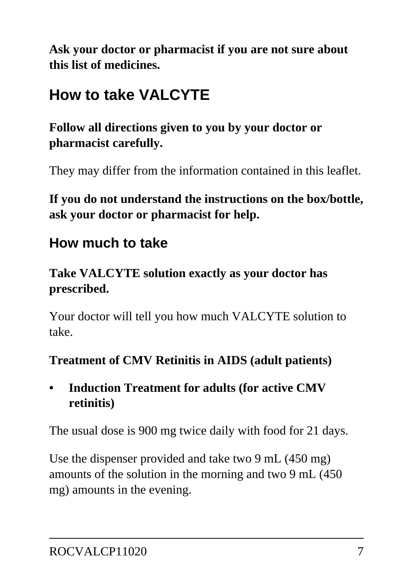**Ask your doctor or pharmacist if you are not sure about this list of medicines.**

## **How to take VALCYTE**

**Follow all directions given to you by your doctor or pharmacist carefully.**

They may differ from the information contained in this leaflet.

**If you do not understand the instructions on the box/bottle, ask your doctor or pharmacist for help.**

### **How much to take**

#### **Take VALCYTE solution exactly as your doctor has prescribed.**

Your doctor will tell you how much VALCYTE solution to take.

#### **Treatment of CMV Retinitis in AIDS (adult patients)**

**• Induction Treatment for adults (for active CMV retinitis)**

The usual dose is 900 mg twice daily with food for 21 days.

Use the dispenser provided and take two 9 mL (450 mg) amounts of the solution in the morning and two 9 mL (450 mg) amounts in the evening.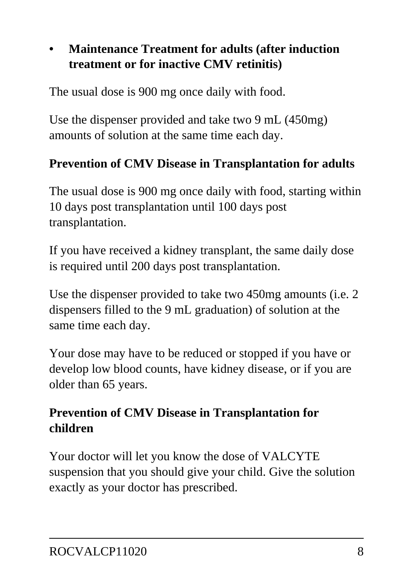#### **• Maintenance Treatment for adults (after induction treatment or for inactive CMV retinitis)**

The usual dose is 900 mg once daily with food.

Use the dispenser provided and take two 9 mL (450mg) amounts of solution at the same time each day.

#### **Prevention of CMV Disease in Transplantation for adults**

The usual dose is 900 mg once daily with food, starting within 10 days post transplantation until 100 days post transplantation.

If you have received a kidney transplant, the same daily dose is required until 200 days post transplantation.

Use the dispenser provided to take two 450mg amounts (i.e. 2 dispensers filled to the 9 mL graduation) of solution at the same time each day.

Your dose may have to be reduced or stopped if you have or develop low blood counts, have kidney disease, or if you are older than 65 years.

#### **Prevention of CMV Disease in Transplantation for children**

Your doctor will let you know the dose of VALCYTE suspension that you should give your child. Give the solution exactly as your doctor has prescribed.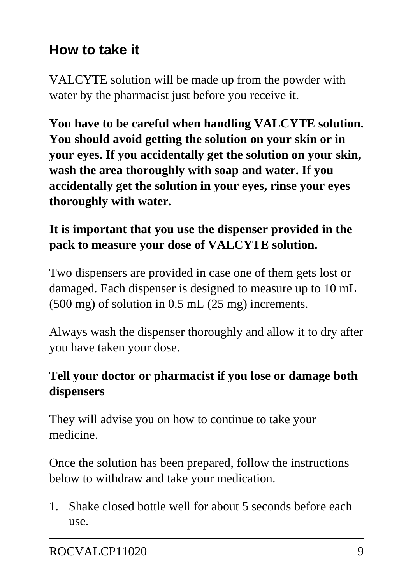## **How to take it**

VALCYTE solution will be made up from the powder with water by the pharmacist just before you receive it.

**You have to be careful when handling VALCYTE solution. You should avoid getting the solution on your skin or in your eyes. If you accidentally get the solution on your skin, wash the area thoroughly with soap and water. If you accidentally get the solution in your eyes, rinse your eyes thoroughly with water.**

#### **It is important that you use the dispenser provided in the pack to measure your dose of VALCYTE solution.**

Two dispensers are provided in case one of them gets lost or damaged. Each dispenser is designed to measure up to 10 mL (500 mg) of solution in 0.5 mL (25 mg) increments.

Always wash the dispenser thoroughly and allow it to dry after you have taken your dose.

#### **Tell your doctor or pharmacist if you lose or damage both dispensers**

They will advise you on how to continue to take your medicine.

Once the solution has been prepared, follow the instructions below to withdraw and take your medication.

1. Shake closed bottle well for about 5 seconds before each use.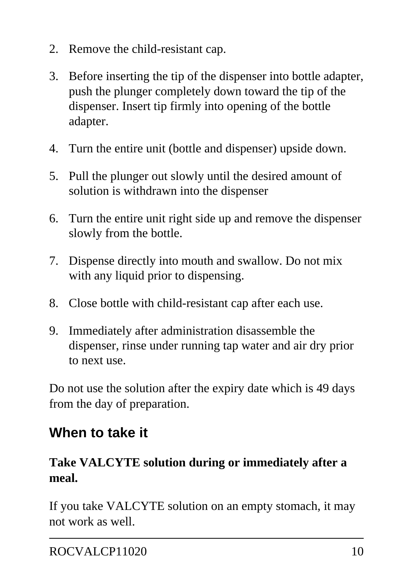- 2. Remove the child-resistant cap.
- 3. Before inserting the tip of the dispenser into bottle adapter, push the plunger completely down toward the tip of the dispenser. Insert tip firmly into opening of the bottle adapter.
- 4. Turn the entire unit (bottle and dispenser) upside down.
- 5. Pull the plunger out slowly until the desired amount of solution is withdrawn into the dispenser
- 6. Turn the entire unit right side up and remove the dispenser slowly from the bottle.
- 7. Dispense directly into mouth and swallow. Do not mix with any liquid prior to dispensing.
- 8. Close bottle with child-resistant cap after each use.
- 9. Immediately after administration disassemble the dispenser, rinse under running tap water and air dry prior to next use.

Do not use the solution after the expiry date which is 49 days from the day of preparation.

## **When to take it**

#### **Take VALCYTE solution during or immediately after a meal.**

If you take VALCYTE solution on an empty stomach, it may not work as well.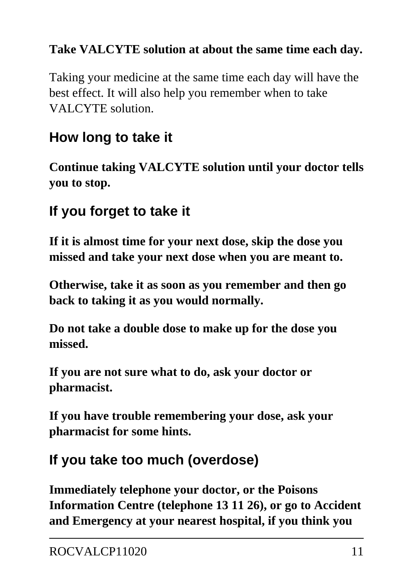#### **Take VALCYTE solution at about the same time each day.**

Taking your medicine at the same time each day will have the best effect. It will also help you remember when to take VALCYTE solution.

## **How long to take it**

**Continue taking VALCYTE solution until your doctor tells you to stop.**

## **If you forget to take it**

**If it is almost time for your next dose, skip the dose you missed and take your next dose when you are meant to.**

**Otherwise, take it as soon as you remember and then go back to taking it as you would normally.**

**Do not take a double dose to make up for the dose you missed.**

**If you are not sure what to do, ask your doctor or pharmacist.**

**If you have trouble remembering your dose, ask your pharmacist for some hints.**

## **If you take too much (overdose)**

**Immediately telephone your doctor, or the Poisons Information Centre (telephone 13 11 26), or go to Accident and Emergency at your nearest hospital, if you think you**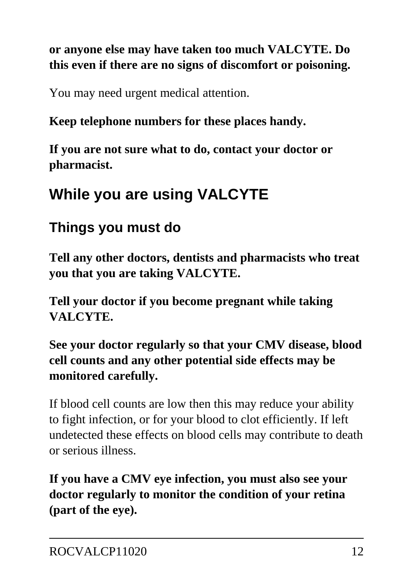#### **or anyone else may have taken too much VALCYTE. Do this even if there are no signs of discomfort or poisoning.**

You may need urgent medical attention.

#### **Keep telephone numbers for these places handy.**

**If you are not sure what to do, contact your doctor or pharmacist.**

## **While you are using VALCYTE**

## **Things you must do**

**Tell any other doctors, dentists and pharmacists who treat you that you are taking VALCYTE.**

**Tell your doctor if you become pregnant while taking VALCYTE.**

**See your doctor regularly so that your CMV disease, blood cell counts and any other potential side effects may be monitored carefully.**

If blood cell counts are low then this may reduce your ability to fight infection, or for your blood to clot efficiently. If left undetected these effects on blood cells may contribute to death or serious illness.

**If you have a CMV eye infection, you must also see your doctor regularly to monitor the condition of your retina (part of the eye).**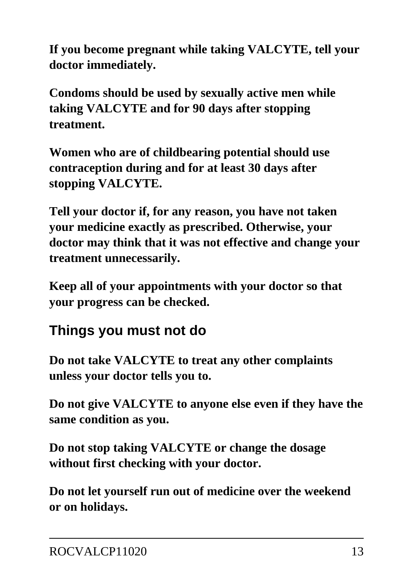**If you become pregnant while taking VALCYTE, tell your doctor immediately.**

**Condoms should be used by sexually active men while taking VALCYTE and for 90 days after stopping treatment.**

**Women who are of childbearing potential should use contraception during and for at least 30 days after stopping VALCYTE.**

**Tell your doctor if, for any reason, you have not taken your medicine exactly as prescribed. Otherwise, your doctor may think that it was not effective and change your treatment unnecessarily.**

**Keep all of your appointments with your doctor so that your progress can be checked.**

## **Things you must not do**

**Do not take VALCYTE to treat any other complaints unless your doctor tells you to.**

**Do not give VALCYTE to anyone else even if they have the same condition as you.**

**Do not stop taking VALCYTE or change the dosage without first checking with your doctor.**

**Do not let yourself run out of medicine over the weekend or on holidays.**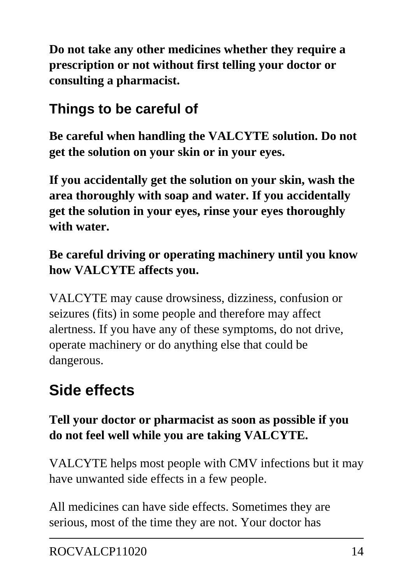**Do not take any other medicines whether they require a prescription or not without first telling your doctor or consulting a pharmacist.**

## **Things to be careful of**

**Be careful when handling the VALCYTE solution. Do not get the solution on your skin or in your eyes.**

**If you accidentally get the solution on your skin, wash the area thoroughly with soap and water. If you accidentally get the solution in your eyes, rinse your eyes thoroughly with water.**

#### **Be careful driving or operating machinery until you know how VALCYTE affects you.**

VALCYTE may cause drowsiness, dizziness, confusion or seizures (fits) in some people and therefore may affect alertness. If you have any of these symptoms, do not drive, operate machinery or do anything else that could be dangerous.

## **Side effects**

#### **Tell your doctor or pharmacist as soon as possible if you do not feel well while you are taking VALCYTE.**

VALCYTE helps most people with CMV infections but it may have unwanted side effects in a few people.

All medicines can have side effects. Sometimes they are serious, most of the time they are not. Your doctor has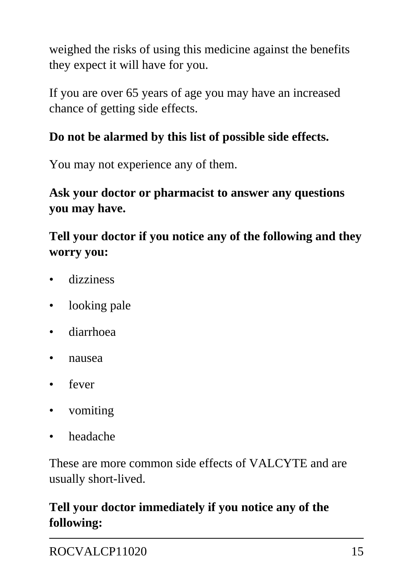weighed the risks of using this medicine against the benefits they expect it will have for you.

If you are over 65 years of age you may have an increased chance of getting side effects.

#### **Do not be alarmed by this list of possible side effects.**

You may not experience any of them.

#### **Ask your doctor or pharmacist to answer any questions you may have.**

#### **Tell your doctor if you notice any of the following and they worry you:**

- dizziness
- looking pale
- diarrhoea
- nausea
- fever
- vomiting
- headache

These are more common side effects of VALCYTE and are usually short-lived.

#### **Tell your doctor immediately if you notice any of the following:**

ROCVALCP11020 15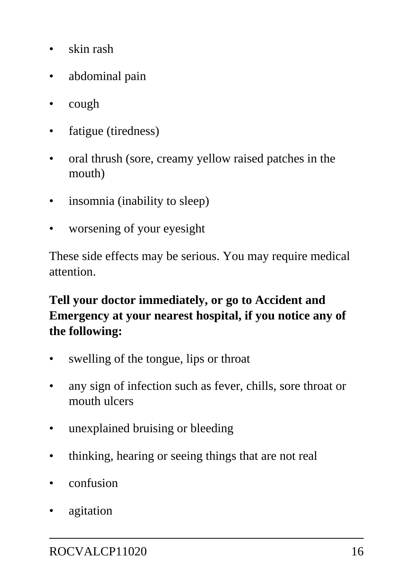- skin rash
- abdominal pain
- cough
- fatigue (tiredness)
- oral thrush (sore, creamy yellow raised patches in the mouth)
- insomnia (inability to sleep)
- worsening of your eyesight

These side effects may be serious. You may require medical attention.

#### **Tell your doctor immediately, or go to Accident and Emergency at your nearest hospital, if you notice any of the following:**

- swelling of the tongue, lips or throat
- any sign of infection such as fever, chills, sore throat or mouth ulcers
- unexplained bruising or bleeding
- thinking, hearing or seeing things that are not real
- confusion
- agitation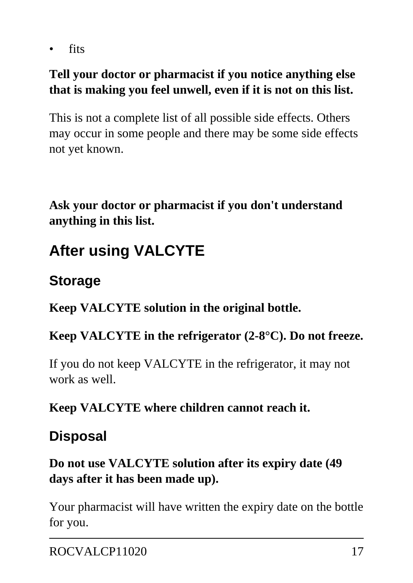• fits

#### **Tell your doctor or pharmacist if you notice anything else that is making you feel unwell, even if it is not on this list.**

This is not a complete list of all possible side effects. Others may occur in some people and there may be some side effects not yet known.

**Ask your doctor or pharmacist if you don't understand anything in this list.**

# **After using VALCYTE**

### **Storage**

**Keep VALCYTE solution in the original bottle.**

#### **Keep VALCYTE in the refrigerator (2-8°C). Do not freeze.**

If you do not keep VALCYTE in the refrigerator, it may not work as well.

#### **Keep VALCYTE where children cannot reach it.**

### **Disposal**

#### **Do not use VALCYTE solution after its expiry date (49 days after it has been made up).**

Your pharmacist will have written the expiry date on the bottle for you.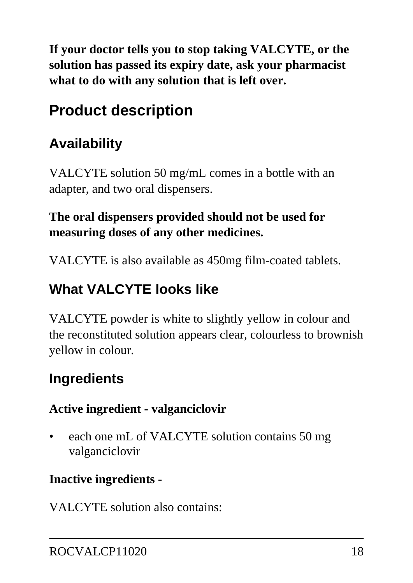**If your doctor tells you to stop taking VALCYTE, or the solution has passed its expiry date, ask your pharmacist what to do with any solution that is left over.**

# **Product description**

## **Availability**

VALCYTE solution 50 mg/mL comes in a bottle with an adapter, and two oral dispensers.

#### **The oral dispensers provided should not be used for measuring doses of any other medicines.**

VALCYTE is also available as 450mg film-coated tablets.

## **What VALCYTE looks like**

VALCYTE powder is white to slightly yellow in colour and the reconstituted solution appears clear, colourless to brownish yellow in colour.

## **Ingredients**

#### **Active ingredient - valganciclovir**

• each one mL of VALCYTE solution contains 50 mg valganciclovir

#### **Inactive ingredients -**

VALCYTE solution also contains: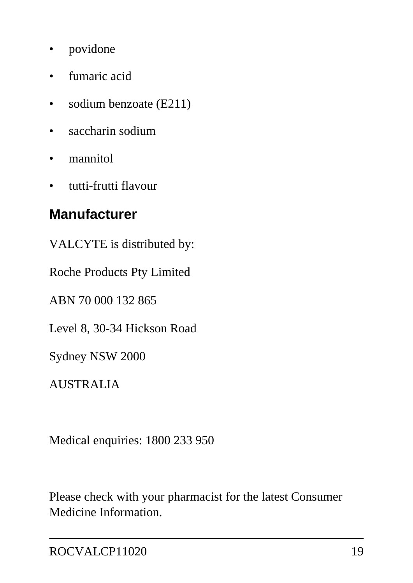- povidone
- fumaric acid
- sodium benzoate (E211)
- saccharin sodium
- mannitol
- tutti-frutti flavour

### **Manufacturer**

VALCYTE is distributed by:

Roche Products Pty Limited

ABN 70 000 132 865

Level 8, 30-34 Hickson Road

Sydney NSW 2000

AUSTRALIA

Medical enquiries: 1800 233 950

Please check with your pharmacist for the latest Consumer Medicine Information.